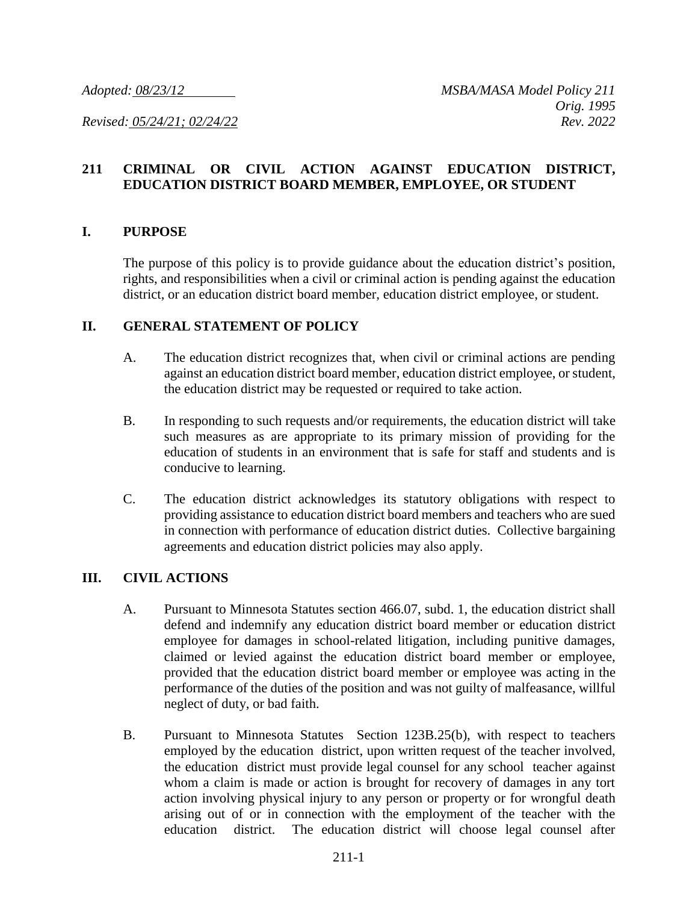## **211 CRIMINAL OR CIVIL ACTION AGAINST EDUCATION DISTRICT, EDUCATION DISTRICT BOARD MEMBER, EMPLOYEE, OR STUDENT**

#### **I. PURPOSE**

The purpose of this policy is to provide guidance about the education district's position, rights, and responsibilities when a civil or criminal action is pending against the education district, or an education district board member, education district employee, or student.

### **II. GENERAL STATEMENT OF POLICY**

- A. The education district recognizes that, when civil or criminal actions are pending against an education district board member, education district employee, or student, the education district may be requested or required to take action.
- B. In responding to such requests and/or requirements, the education district will take such measures as are appropriate to its primary mission of providing for the education of students in an environment that is safe for staff and students and is conducive to learning.
- C. The education district acknowledges its statutory obligations with respect to providing assistance to education district board members and teachers who are sued in connection with performance of education district duties. Collective bargaining agreements and education district policies may also apply.

### **III. CIVIL ACTIONS**

- A. Pursuant to Minnesota Statutes section 466.07, subd. 1, the education district shall defend and indemnify any education district board member or education district employee for damages in school-related litigation, including punitive damages, claimed or levied against the education district board member or employee, provided that the education district board member or employee was acting in the performance of the duties of the position and was not guilty of malfeasance, willful neglect of duty, or bad faith.
- B. Pursuant to Minnesota Statutes Section 123B.25(b), with respect to teachers employed by the education district, upon written request of the teacher involved, the education district must provide legal counsel for any school teacher against whom a claim is made or action is brought for recovery of damages in any tort action involving physical injury to any person or property or for wrongful death arising out of or in connection with the employment of the teacher with the education district. The education district will choose legal counsel after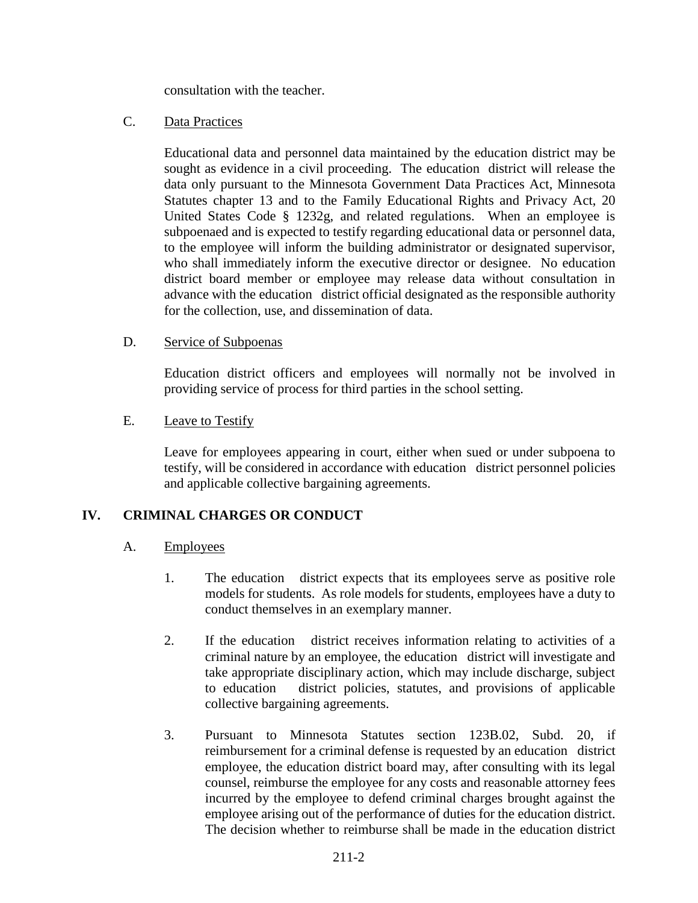consultation with the teacher.

## C. Data Practices

Educational data and personnel data maintained by the education district may be sought as evidence in a civil proceeding. The education district will release the data only pursuant to the Minnesota Government Data Practices Act, Minnesota Statutes chapter 13 and to the Family Educational Rights and Privacy Act, 20 United States Code § 1232g, and related regulations. When an employee is subpoenaed and is expected to testify regarding educational data or personnel data, to the employee will inform the building administrator or designated supervisor, who shall immediately inform the executive director or designee. No education district board member or employee may release data without consultation in advance with the education district official designated as the responsible authority for the collection, use, and dissemination of data.

## D. Service of Subpoenas

Education district officers and employees will normally not be involved in providing service of process for third parties in the school setting.

## E. Leave to Testify

Leave for employees appearing in court, either when sued or under subpoena to testify, will be considered in accordance with education district personnel policies and applicable collective bargaining agreements.

# **IV. CRIMINAL CHARGES OR CONDUCT**

### A. Employees

- 1. The education district expects that its employees serve as positive role models for students. As role models for students, employees have a duty to conduct themselves in an exemplary manner.
- 2. If the education district receives information relating to activities of a criminal nature by an employee, the education district will investigate and take appropriate disciplinary action, which may include discharge, subject to education district policies, statutes, and provisions of applicable collective bargaining agreements.
- 3. Pursuant to Minnesota Statutes section 123B.02, Subd. 20, if reimbursement for a criminal defense is requested by an education district employee, the education district board may, after consulting with its legal counsel, reimburse the employee for any costs and reasonable attorney fees incurred by the employee to defend criminal charges brought against the employee arising out of the performance of duties for the education district. The decision whether to reimburse shall be made in the education district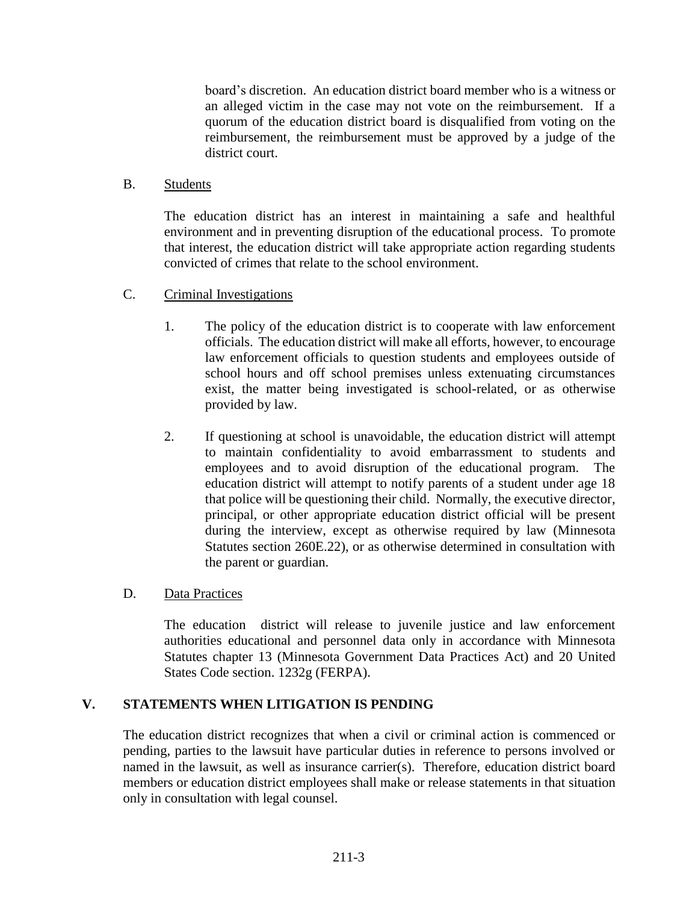board's discretion. An education district board member who is a witness or an alleged victim in the case may not vote on the reimbursement. If a quorum of the education district board is disqualified from voting on the reimbursement, the reimbursement must be approved by a judge of the district court.

## B. Students

The education district has an interest in maintaining a safe and healthful environment and in preventing disruption of the educational process. To promote that interest, the education district will take appropriate action regarding students convicted of crimes that relate to the school environment.

- C. Criminal Investigations
	- 1. The policy of the education district is to cooperate with law enforcement officials. The education district will make all efforts, however, to encourage law enforcement officials to question students and employees outside of school hours and off school premises unless extenuating circumstances exist, the matter being investigated is school-related, or as otherwise provided by law.
	- 2. If questioning at school is unavoidable, the education district will attempt to maintain confidentiality to avoid embarrassment to students and employees and to avoid disruption of the educational program. The education district will attempt to notify parents of a student under age 18 that police will be questioning their child. Normally, the executive director, principal, or other appropriate education district official will be present during the interview, except as otherwise required by law (Minnesota Statutes section 260E.22), or as otherwise determined in consultation with the parent or guardian.

# D. Data Practices

The education district will release to juvenile justice and law enforcement authorities educational and personnel data only in accordance with Minnesota Statutes chapter 13 (Minnesota Government Data Practices Act) and 20 United States Code section. 1232g (FERPA).

# **V. STATEMENTS WHEN LITIGATION IS PENDING**

The education district recognizes that when a civil or criminal action is commenced or pending, parties to the lawsuit have particular duties in reference to persons involved or named in the lawsuit, as well as insurance carrier(s). Therefore, education district board members or education district employees shall make or release statements in that situation only in consultation with legal counsel.